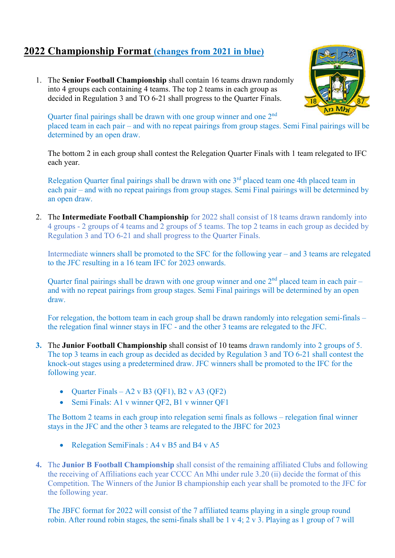## 2022 Championship Format (changes from 2021 in blue)

1. The Senior Football Championship shall contain 16 teams drawn randomly into 4 groups each containing 4 teams. The top 2 teams in each group as decided in Regulation 3 and TO 6-21 shall progress to the Quarter Finals.



Quarter final pairings shall be drawn with one group winner and one 2<sup>nd</sup> placed team in each pair – and with no repeat pairings from group stages. Semi Final pairings will be determined by an open draw.

The bottom 2 in each group shall contest the Relegation Quarter Finals with 1 team relegated to IFC each year.

Relegation Quarter final pairings shall be drawn with one 3<sup>rd</sup> placed team one 4th placed team in each pair – and with no repeat pairings from group stages. Semi Final pairings will be determined by an open draw.

2. The Intermediate Football Championship for 2022 shall consist of 18 teams drawn randomly into 4 groups - 2 groups of 4 teams and 2 groups of 5 teams. The top 2 teams in each group as decided by Regulation 3 and TO 6-21 and shall progress to the Quarter Finals.

Intermediate winners shall be promoted to the SFC for the following year – and 3 teams are relegated to the JFC resulting in a 16 team IFC for 2023 onwards.

Quarter final pairings shall be drawn with one group winner and one  $2<sup>nd</sup>$  placed team in each pair – and with no repeat pairings from group stages. Semi Final pairings will be determined by an open draw.

For relegation, the bottom team in each group shall be drawn randomly into relegation semi-finals – the relegation final winner stays in IFC - and the other 3 teams are relegated to the JFC.

- 3. The Junior Football Championship shall consist of 10 teams drawn randomly into 2 groups of 5. The top 3 teams in each group as decided as decided by Regulation 3 and TO 6-21 shall contest the knock-out stages using a predetermined draw. JFC winners shall be promoted to the IFC for the following year.
	- Quarter Finals A2 v B3 (QF1), B2 v A3 (QF2)
	- Semi Finals: A1 v winner QF2, B1 v winner QF1

The Bottom 2 teams in each group into relegation semi finals as follows – relegation final winner stays in the JFC and the other 3 teams are relegated to the JBFC for 2023

- Relegation SemiFinals : A4 v B5 and B4 v A5
- 4. The Junior B Football Championship shall consist of the remaining affiliated Clubs and following the receiving of Affiliations each year CCCC An Mhi under rule 3.20 (ii) decide the format of this Competition. The Winners of the Junior B championship each year shall be promoted to the JFC for the following year.

The JBFC format for 2022 will consist of the 7 affiliated teams playing in a single group round robin. After round robin stages, the semi-finals shall be 1 v 4; 2 v 3. Playing as 1 group of 7 will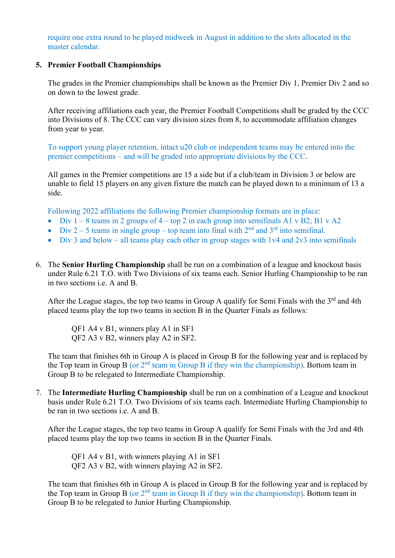require one extra round to be played midweek in August in addition to the slots allocated in the master calendar.

## 5. Premier Football Championships

The grades in the Premier championships shall be known as the Premier Div 1, Premier Div 2 and so on down to the lowest grade.

After receiving affiliations each year, the Premier Football Competitions shall be graded by the CCC into Divisions of 8. The CCC can vary division sizes from 8, to accommodate affiliation changes from year to year.

To support young player retention, intact u20 club or independent teams may be entered into the premier competitions – and will be graded into appropriate divisions by the CCC.

All games in the Premier competitions are 15 a side but if a club/team in Division 3 or below are unable to field 15 players on any given fixture the match can be played down to a minimum of 13 a side.

Following 2022 affiliations the following Premier championship formats are in place:

- Div  $1 8$  teams in 2 groups of  $4 top 2$  in each group into semifinals A1 v B2; B1 v A2
- $\bullet$  Div 2 5 teams in single group top team into final with  $2<sup>nd</sup>$  and  $3<sup>rd</sup>$  into semifinal.
- $\bullet$  Div 3 and below all teams play each other in group stages with 1v4 and 2v3 into semifinals
- 6. The Senior Hurling Championship shall be run on a combination of a league and knockout basis under Rule 6.21 T.O. with Two Divisions of six teams each. Senior Hurling Championship to be ran in two sections i.e. A and B.

After the League stages, the top two teams in Group A qualify for Semi Finals with the 3<sup>rd</sup> and 4th placed teams play the top two teams in section B in the Quarter Finals as follows:

QF1 A4 v B1, winners play A1 in SF1 QF2 A3 v B2, winners play A2 in SF2.

The team that finishes 6th in Group A is placed in Group B for the following year and is replaced by the Top team in Group B (or  $2<sup>nd</sup>$  team in Group B if they win the championship). Bottom team in Group B to be relegated to Intermediate Championship.

7. The Intermediate Hurling Championship shall be run on a combination of a League and knockout basis under Rule 6.21 T.O. Two Divisions of six teams each. Intermediate Hurling Championship to be ran in two sections i.e. A and B.

After the League stages, the top two teams in Group A qualify for Semi Finals with the 3rd and 4th placed teams play the top two teams in section B in the Quarter Finals.

QF1 A4 v B1, with winners playing A1 in SF1 QF2 A3 v B2, with winners playing A2 in SF2.

The team that finishes 6th in Group A is placed in Group B for the following year and is replaced by the Top team in Group B (or  $2<sup>nd</sup>$  team in Group B if they win the championship). Bottom team in Group B to be relegated to Junior Hurling Championship.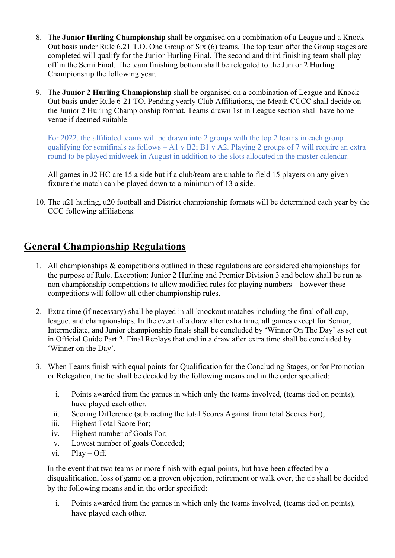- 8. The Junior Hurling Championship shall be organised on a combination of a League and a Knock Out basis under Rule 6.21 T.O. One Group of Six (6) teams. The top team after the Group stages are completed will qualify for the Junior Hurling Final. The second and third finishing team shall play off in the Semi Final. The team finishing bottom shall be relegated to the Junior 2 Hurling Championship the following year.
- 9. The Junior 2 Hurling Championship shall be organised on a combination of League and Knock Out basis under Rule 6-21 TO. Pending yearly Club Affiliations, the Meath CCCC shall decide on the Junior 2 Hurling Championship format. Teams drawn 1st in League section shall have home venue if deemed suitable.

For 2022, the affiliated teams will be drawn into 2 groups with the top 2 teams in each group qualifying for semifinals as follows – A1 v B2; B1 v A2. Playing 2 groups of 7 will require an extra round to be played midweek in August in addition to the slots allocated in the master calendar.

All games in J2 HC are 15 a side but if a club/team are unable to field 15 players on any given fixture the match can be played down to a minimum of 13 a side.

10. The u21 hurling, u20 football and District championship formats will be determined each year by the CCC following affiliations.

## General Championship Regulations

- 1. All championships & competitions outlined in these regulations are considered championships for the purpose of Rule. Exception: Junior 2 Hurling and Premier Division 3 and below shall be run as non championship competitions to allow modified rules for playing numbers – however these competitions will follow all other championship rules.
- 2. Extra time (if necessary) shall be played in all knockout matches including the final of all cup, league, and championships. In the event of a draw after extra time, all games except for Senior, Intermediate, and Junior championship finals shall be concluded by 'Winner On The Day' as set out in Official Guide Part 2. Final Replays that end in a draw after extra time shall be concluded by 'Winner on the Day'.
- 3. When Teams finish with equal points for Qualification for the Concluding Stages, or for Promotion or Relegation, the tie shall be decided by the following means and in the order specified:
	- i. Points awarded from the games in which only the teams involved, (teams tied on points), have played each other.
	- ii. Scoring Difference (subtracting the total Scores Against from total Scores For);
	- iii. Highest Total Score For;
	- iv. Highest number of Goals For;
	- v. Lowest number of goals Conceded;
	- vi. Play Off.

In the event that two teams or more finish with equal points, but have been affected by a disqualification, loss of game on a proven objection, retirement or walk over, the tie shall be decided by the following means and in the order specified:

i. Points awarded from the games in which only the teams involved, (teams tied on points), have played each other.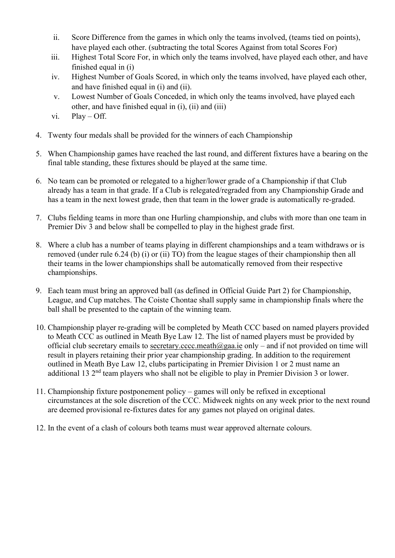- ii. Score Difference from the games in which only the teams involved, (teams tied on points), have played each other. (subtracting the total Scores Against from total Scores For)
- iii. Highest Total Score For, in which only the teams involved, have played each other, and have finished equal in (i)
- iv. Highest Number of Goals Scored, in which only the teams involved, have played each other, and have finished equal in (i) and (ii).
- v. Lowest Number of Goals Conceded, in which only the teams involved, have played each other, and have finished equal in (i), (ii) and (iii)
- $vi.$  Play Off.
- 4. Twenty four medals shall be provided for the winners of each Championship
- 5. When Championship games have reached the last round, and different fixtures have a bearing on the final table standing, these fixtures should be played at the same time.
- 6. No team can be promoted or relegated to a higher/lower grade of a Championship if that Club already has a team in that grade. If a Club is relegated/regraded from any Championship Grade and has a team in the next lowest grade, then that team in the lower grade is automatically re-graded.
- 7. Clubs fielding teams in more than one Hurling championship, and clubs with more than one team in Premier Div 3 and below shall be compelled to play in the highest grade first.
- 8. Where a club has a number of teams playing in different championships and a team withdraws or is removed (under rule 6.24 (b) (i) or (ii) TO) from the league stages of their championship then all their teams in the lower championships shall be automatically removed from their respective championships.
- 9. Each team must bring an approved ball (as defined in Official Guide Part 2) for Championship, League, and Cup matches. The Coiste Chontae shall supply same in championship finals where the ball shall be presented to the captain of the winning team.
- 10. Championship player re-grading will be completed by Meath CCC based on named players provided to Meath CCC as outlined in Meath Bye Law 12. The list of named players must be provided by official club secretary emails to secretary.cccc.meath@gaa.ie only – and if not provided on time will result in players retaining their prior year championship grading. In addition to the requirement outlined in Meath Bye Law 12, clubs participating in Premier Division 1 or 2 must name an additional 13 2<sup>nd</sup> team players who shall not be eligible to play in Premier Division 3 or lower.
- 11. Championship fixture postponement policy games will only be refixed in exceptional circumstances at the sole discretion of the CCC. Midweek nights on any week prior to the next round are deemed provisional re-fixtures dates for any games not played on original dates.
- 12. In the event of a clash of colours both teams must wear approved alternate colours.